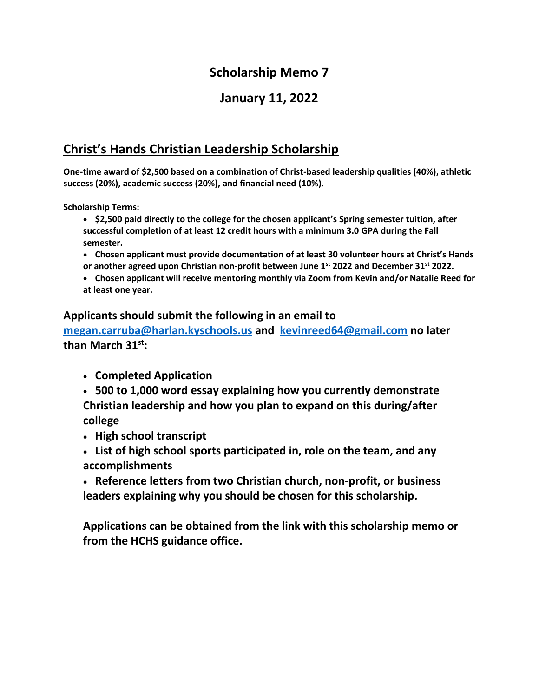## **Scholarship Memo 7**

### **January 11, 2022**

# **Christ's Hands Christian Leadership Scholarship**

**One-time award of \$2,500 based on a combination of Christ-based leadership qualities (40%), athletic success (20%), academic success (20%), and financial need (10%).**

**Scholarship Terms:**

- **\$2,500 paid directly to the college for the chosen applicant's Spring semester tuition, after successful completion of at least 12 credit hours with a minimum 3.0 GPA during the Fall semester.**
- **Chosen applicant must provide documentation of at least 30 volunteer hours at Christ's Hands or another agreed upon Christian non-profit between June 1st 2022 and December 31st 2022.**
- **Chosen applicant will receive mentoring monthly via Zoom from Kevin and/or Natalie Reed for at least one year.**

#### **Applicants should submit the following in an email to**

**[megan.carruba@harlan.kyschools.us](mailto:megan.carruba@harlan.kyschools.us) and [kevinreed64@gmail.com](mailto:kevinreed64@gmail.com) no later than March 31st:**

- **Completed Application**
- **500 to 1,000 word essay explaining how you currently demonstrate Christian leadership and how you plan to expand on this during/after college**
- **High school transcript**
- **List of high school sports participated in, role on the team, and any accomplishments**
- **Reference letters from two Christian church, non-profit, or business leaders explaining why you should be chosen for this scholarship.**

**Applications can be obtained from the link with this scholarship memo or from the HCHS guidance office.**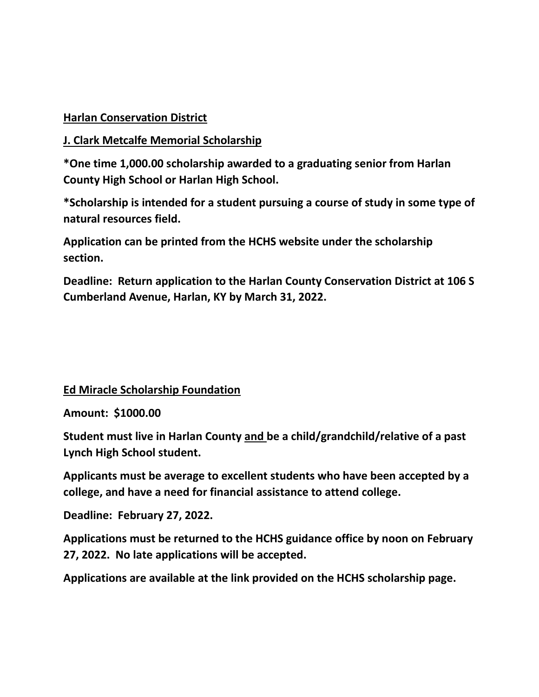#### **Harlan Conservation District**

#### **J. Clark Metcalfe Memorial Scholarship**

**\*One time 1,000.00 scholarship awarded to a graduating senior from Harlan County High School or Harlan High School.**

**\*Scholarship is intended for a student pursuing a course of study in some type of natural resources field.**

**Application can be printed from the HCHS website under the scholarship section.**

**Deadline: Return application to the Harlan County Conservation District at 106 S Cumberland Avenue, Harlan, KY by March 31, 2022.**

#### **Ed Miracle Scholarship Foundation**

**Amount: \$1000.00**

**Student must live in Harlan County and be a child/grandchild/relative of a past Lynch High School student.**

**Applicants must be average to excellent students who have been accepted by a college, and have a need for financial assistance to attend college.**

**Deadline: February 27, 2022.**

**Applications must be returned to the HCHS guidance office by noon on February 27, 2022. No late applications will be accepted.**

**Applications are available at the link provided on the HCHS scholarship page.**